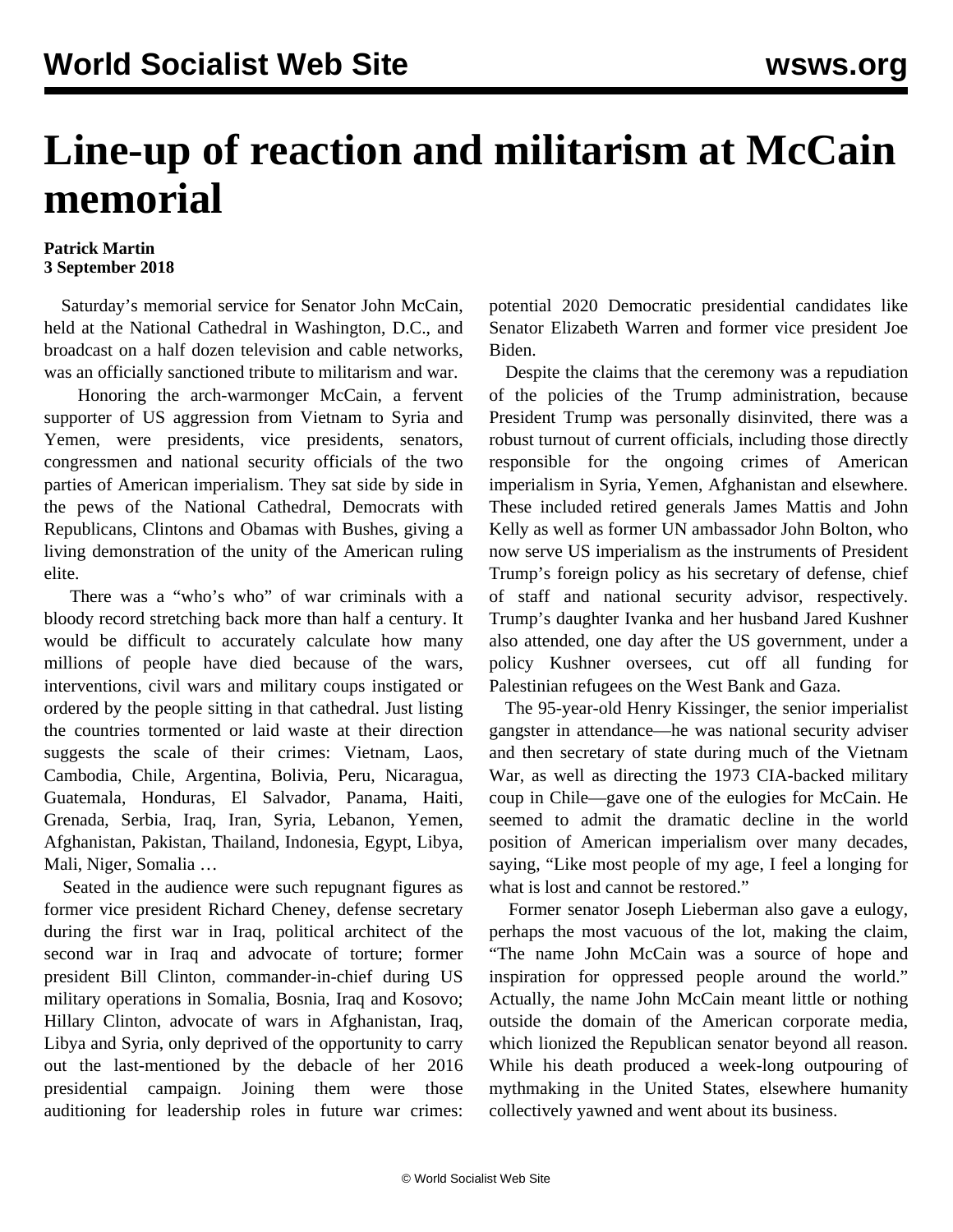## **Line-up of reaction and militarism at McCain memorial**

## **Patrick Martin 3 September 2018**

 Saturday's memorial service for Senator John McCain, held at the National Cathedral in Washington, D.C., and broadcast on a half dozen television and cable networks, was an officially sanctioned tribute to militarism and war.

 Honoring the arch-warmonger McCain, a fervent supporter of US aggression from Vietnam to Syria and Yemen, were presidents, vice presidents, senators, congressmen and national security officials of the two parties of American imperialism. They sat side by side in the pews of the National Cathedral, Democrats with Republicans, Clintons and Obamas with Bushes, giving a living demonstration of the unity of the American ruling elite.

 There was a "who's who" of war criminals with a bloody record stretching back more than half a century. It would be difficult to accurately calculate how many millions of people have died because of the wars, interventions, civil wars and military coups instigated or ordered by the people sitting in that cathedral. Just listing the countries tormented or laid waste at their direction suggests the scale of their crimes: Vietnam, Laos, Cambodia, Chile, Argentina, Bolivia, Peru, Nicaragua, Guatemala, Honduras, El Salvador, Panama, Haiti, Grenada, Serbia, Iraq, Iran, Syria, Lebanon, Yemen, Afghanistan, Pakistan, Thailand, Indonesia, Egypt, Libya, Mali, Niger, Somalia …

 Seated in the audience were such repugnant figures as former vice president Richard Cheney, defense secretary during the first war in Iraq, political architect of the second war in Iraq and advocate of torture; former president Bill Clinton, commander-in-chief during US military operations in Somalia, Bosnia, Iraq and Kosovo; Hillary Clinton, advocate of wars in Afghanistan, Iraq, Libya and Syria, only deprived of the opportunity to carry out the last-mentioned by the debacle of her 2016 presidential campaign. Joining them were those auditioning for leadership roles in future war crimes:

potential 2020 Democratic presidential candidates like Senator Elizabeth Warren and former vice president Joe Biden.

 Despite the claims that the ceremony was a repudiation of the policies of the Trump administration, because President Trump was personally disinvited, there was a robust turnout of current officials, including those directly responsible for the ongoing crimes of American imperialism in Syria, Yemen, Afghanistan and elsewhere. These included retired generals James Mattis and John Kelly as well as former UN ambassador John Bolton, who now serve US imperialism as the instruments of President Trump's foreign policy as his secretary of defense, chief of staff and national security advisor, respectively. Trump's daughter Ivanka and her husband Jared Kushner also attended, one day after the US government, under a policy Kushner oversees, cut off all funding for Palestinian refugees on the West Bank and Gaza.

 The 95-year-old Henry Kissinger, the senior imperialist gangster in attendance—he was national security adviser and then secretary of state during much of the Vietnam War, as well as directing the 1973 CIA-backed military coup in Chile—gave one of the eulogies for McCain. He seemed to admit the dramatic decline in the world position of American imperialism over many decades, saying, "Like most people of my age, I feel a longing for what is lost and cannot be restored."

 Former senator Joseph Lieberman also gave a eulogy, perhaps the most vacuous of the lot, making the claim, "The name John McCain was a source of hope and inspiration for oppressed people around the world." Actually, the name John McCain meant little or nothing outside the domain of the American corporate media, which lionized the Republican senator beyond all reason. While his death produced a week-long outpouring of mythmaking in the United States, elsewhere humanity collectively yawned and went about its business.